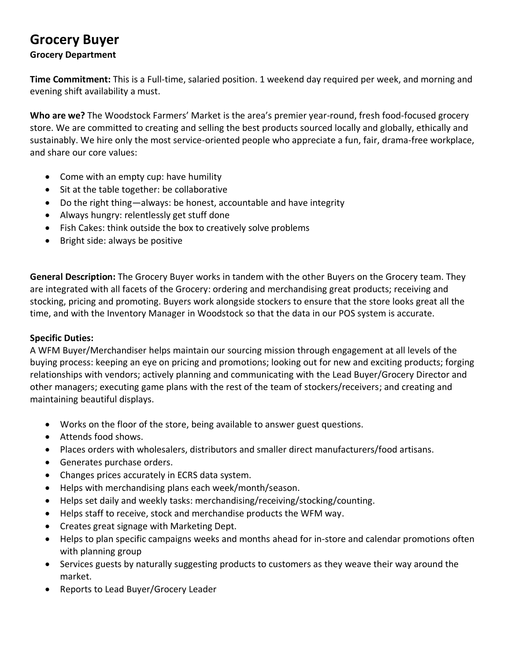# **Grocery Buyer**

### **Grocery Department**

**Time Commitment:** This is a Full-time, salaried position. 1 weekend day required per week, and morning and evening shift availability a must.

**Who are we?** The Woodstock Farmers' Market is the area's premier year-round, fresh food-focused grocery store. We are committed to creating and selling the best products sourced locally and globally, ethically and sustainably. We hire only the most service-oriented people who appreciate a fun, fair, drama-free workplace, and share our core values:

- Come with an empty cup: have humility
- Sit at the table together: be collaborative
- Do the right thing—always: be honest, accountable and have integrity
- Always hungry: relentlessly get stuff done
- Fish Cakes: think outside the box to creatively solve problems
- Bright side: always be positive

**General Description:** The Grocery Buyer works in tandem with the other Buyers on the Grocery team. They are integrated with all facets of the Grocery: ordering and merchandising great products; receiving and stocking, pricing and promoting. Buyers work alongside stockers to ensure that the store looks great all the time, and with the Inventory Manager in Woodstock so that the data in our POS system is accurate.

### **Specific Duties:**

A WFM Buyer/Merchandiser helps maintain our sourcing mission through engagement at all levels of the buying process: keeping an eye on pricing and promotions; looking out for new and exciting products; forging relationships with vendors; actively planning and communicating with the Lead Buyer/Grocery Director and other managers; executing game plans with the rest of the team of stockers/receivers; and creating and maintaining beautiful displays.

- Works on the floor of the store, being available to answer guest questions.
- Attends food shows.
- Places orders with wholesalers, distributors and smaller direct manufacturers/food artisans.
- Generates purchase orders.
- Changes prices accurately in ECRS data system.
- Helps with merchandising plans each week/month/season.
- Helps set daily and weekly tasks: merchandising/receiving/stocking/counting.
- Helps staff to receive, stock and merchandise products the WFM way.
- Creates great signage with Marketing Dept.
- Helps to plan specific campaigns weeks and months ahead for in-store and calendar promotions often with planning group
- Services guests by naturally suggesting products to customers as they weave their way around the market.
- Reports to Lead Buyer/Grocery Leader